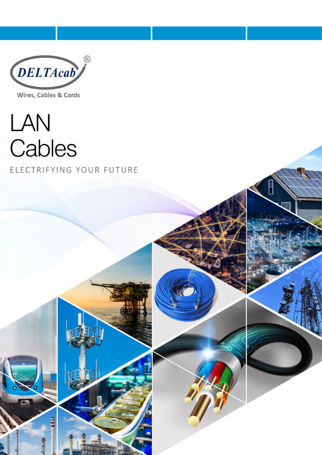

Wires, Cables & Cords

LAN Cables ELECTRIFYING YOUR FUTURE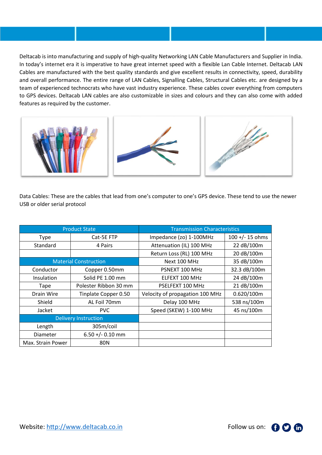Deltacab is into manufacturing and supply of high-quality Networking LAN Cable Manufacturers and Supplier in India. In today's internet era it is imperative to have great internet speed with a flexible Lan Cable Internet. Deltacab LAN Cables are manufactured with the best quality standards and give excellent results in connectivity, speed, durability and overall performance. The entire range of LAN Cables, Signalling Cables, Structural Cables etc. are designed by a team of experienced technocrats who have vast industry experience. These cables cover everything from computers to GPS devices. Deltacab LAN cables are also customizable in sizes and colours and they can also come with added features as required by the customer.



Data Cables: These are the cables that lead from one's computer to one's GPS device. These tend to use the newer USB or older serial protocol

| <b>Product State</b>         |                       | <b>Transmission Characteristics</b> |                   |
|------------------------------|-----------------------|-------------------------------------|-------------------|
| Type                         | Cat-5E FTP            | Impedance (zo) 1-100MHz             | $100 +/- 15$ ohms |
| Standard                     | 4 Pairs               | Attenuation (IL) 100 MHz            | 22 dB/100m        |
|                              |                       | Return Loss (RL) 100 MHz            | 20 dB/100m        |
| <b>Material Construction</b> |                       | Next 100 MHz                        | 35 dB/100m        |
| Conductor                    | Copper 0.50mm         | PSNEXT 100 MHz                      | 32.3 dB/100m      |
| Insulation                   | Solid PE 1.00 mm      | ELFEXT 100 MHz                      | 24 dB/100m        |
| Tape                         | Polester Ribbon 30 mm | PSELFEXT 100 MHz                    | 21 dB/100m        |
| Drain Wire                   | Tinplate Copper 0.50  | Velocity of propagation 100 MHz     | 0.620/100m        |
| Shield                       | AL Foil 70mm          | Delay 100 MHz                       | 538 ns/100m       |
| Jacket                       | PVC.                  | Speed (SKEW) 1-100 MHz              | 45 ns/100m        |
| <b>Delivery Instruction</b>  |                       |                                     |                   |
| Length                       | 305m/coil             |                                     |                   |
| Diameter                     | $6.50 +/- 0.10$ mm    |                                     |                   |
| Max. Strain Power            | 80N                   |                                     |                   |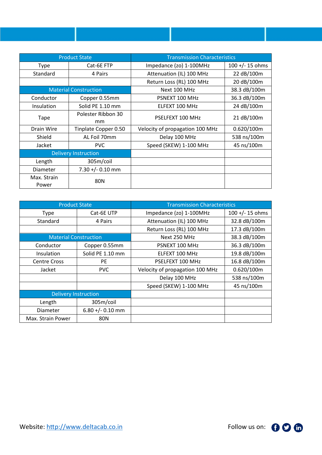| <b>Product State</b>         |                      | <b>Transmission Characteristics</b> |                    |
|------------------------------|----------------------|-------------------------------------|--------------------|
| Type                         | Cat-6E FTP           | Impedance (zo) 1-100MHz             | $100 + (-15)$ ohms |
| Standard                     | 4 Pairs              | Attenuation (IL) 100 MHz            | 22 dB/100m         |
|                              |                      | Return Loss (RL) 100 MHz            | 20 dB/100m         |
| <b>Material Construction</b> |                      | Next 100 MHz                        | 38.3 dB/100m       |
| Conductor                    | Copper 0.55mm        | PSNEXT 100 MHz                      | 36.3 dB/100m       |
| Insulation                   | Solid PE 1.10 mm     | ELFEXT 100 MHz                      | 24 dB/100m         |
| Tape                         | Polester Ribbon 30   | PSELFEXT 100 MHz                    | 21 dB/100m         |
|                              | mm                   |                                     |                    |
| Drain Wire                   | Tinplate Copper 0.50 | Velocity of propagation 100 MHz     | 0.620/100m         |
| Shield                       | AL Foil 70mm         | Delay 100 MHz                       | 538 ns/100m        |
| Jacket                       | <b>PVC</b>           | Speed (SKEW) 1-100 MHz              | 45 ns/100m         |
| <b>Delivery Instruction</b>  |                      |                                     |                    |
| Length                       | 305m/coil            |                                     |                    |
| Diameter                     | $7.30 +/- 0.10$ mm   |                                     |                    |
| Max. Strain                  | <b>80N</b>           |                                     |                    |
| Power                        |                      |                                     |                    |

| <b>Product State</b>         |                    | <b>Transmission Characteristics</b> |                    |
|------------------------------|--------------------|-------------------------------------|--------------------|
| <b>Type</b>                  | Cat-6E UTP         | Impedance (zo) 1-100MHz             | $100 + (-15)$ ohms |
| Standard                     | 4 Pairs            | Attenuation (IL) 100 MHz            | 32.8 dB/100m       |
|                              |                    | Return Loss (RL) 100 MHz            | 17.3 dB/100m       |
| <b>Material Construction</b> |                    | Next 250 MHz                        | 38.3 dB/100m       |
| Conductor                    | Copper 0.55mm      | PSNEXT 100 MHz                      | 36.3 dB/100m       |
| Insulation                   | Solid PE 1.10 mm   | ELFEXT 100 MHz                      | 19.8 dB/100m       |
| <b>Centre Cross</b>          | <b>PE</b>          | PSELFEXT 100 MHz                    | 16.8 dB/100m       |
| Jacket                       | <b>PVC</b>         | Velocity of propagation 100 MHz     | 0.620/100m         |
|                              |                    | Delay 100 MHz                       | 538 ns/100m        |
|                              |                    | Speed (SKEW) 1-100 MHz              | 45 ns/100m         |
| <b>Delivery Instruction</b>  |                    |                                     |                    |
| Length                       | 305m/coil          |                                     |                    |
| Diameter                     | $6.80 +/- 0.10$ mm |                                     |                    |
| Max. Strain Power            | 80N                |                                     |                    |